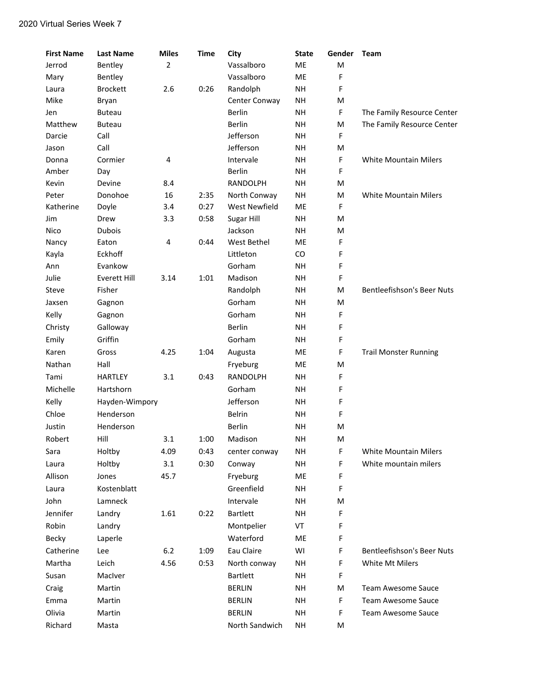| <b>First Name</b> | <b>Last Name</b>    | <b>Miles</b>   | <b>Time</b> | City                 | <b>State</b> | Gender      | Team                              |
|-------------------|---------------------|----------------|-------------|----------------------|--------------|-------------|-----------------------------------|
| Jerrod            | Bentley             | $\overline{2}$ |             | Vassalboro           | ME           | M           |                                   |
| Mary              | Bentley             |                |             | Vassalboro           | ME           | F           |                                   |
| Laura             | <b>Brockett</b>     | 2.6            | 0:26        | Randolph             | <b>NH</b>    | F           |                                   |
| Mike              | Bryan               |                |             | Center Conway        | <b>NH</b>    | M           |                                   |
| Jen               | <b>Buteau</b>       |                |             | <b>Berlin</b>        | <b>NH</b>    | F           | The Family Resource Center        |
| Matthew           | <b>Buteau</b>       |                |             | Berlin               | <b>NH</b>    | M           | The Family Resource Center        |
| Darcie            | Call                |                |             | Jefferson            | <b>NH</b>    | F           |                                   |
| Jason             | Call                |                |             | Jefferson            | <b>NH</b>    | M           |                                   |
| Donna             | Cormier             | 4              |             | Intervale            | <b>NH</b>    | F           | White Mountain Milers             |
| Amber             | Day                 |                |             | Berlin               | <b>NH</b>    | F           |                                   |
| Kevin             | Devine              | 8.4            |             | <b>RANDOLPH</b>      | <b>NH</b>    | M           |                                   |
| Peter             | Donohoe             | 16             | 2:35        | North Conway         | <b>NH</b>    | M           | <b>White Mountain Milers</b>      |
| Katherine         | Doyle               | 3.4            | 0:27        | <b>West Newfield</b> | ME           | F           |                                   |
| Jim               | Drew                | 3.3            | 0:58        | Sugar Hill           | <b>NH</b>    | M           |                                   |
| Nico              | <b>Dubois</b>       |                |             | Jackson              | <b>NH</b>    | M           |                                   |
| Nancy             | Eaton               | 4              | 0:44        | West Bethel          | ME           | F           |                                   |
| Kayla             | Eckhoff             |                |             | Littleton            | CO           | F           |                                   |
| Ann               | Evankow             |                |             | Gorham               | <b>NH</b>    | F           |                                   |
| Julie             | <b>Everett Hill</b> | 3.14           | 1:01        | Madison              | <b>NH</b>    | F           |                                   |
| Steve             | Fisher              |                |             | Randolph             | <b>NH</b>    | M           | <b>Bentleefishson's Beer Nuts</b> |
| Jaxsen            | Gagnon              |                |             | Gorham               | <b>NH</b>    | M           |                                   |
| Kelly             | Gagnon              |                |             | Gorham               | <b>NH</b>    | F           |                                   |
| Christy           | Galloway            |                |             | <b>Berlin</b>        | <b>NH</b>    | F           |                                   |
| Emily             | Griffin             |                |             | Gorham               | <b>NH</b>    | F           |                                   |
| Karen             | Gross               | 4.25           | 1:04        | Augusta              | ME           | F           | <b>Trail Monster Running</b>      |
| Nathan            | Hall                |                |             | Fryeburg             | ME           | M           |                                   |
| Tami              | <b>HARTLEY</b>      | 3.1            | 0:43        | <b>RANDOLPH</b>      | <b>NH</b>    | F           |                                   |
| Michelle          | Hartshorn           |                |             | Gorham               | <b>NH</b>    | F           |                                   |
| Kelly             | Hayden-Wimpory      |                |             | Jefferson            | <b>NH</b>    | F           |                                   |
| Chloe             | Henderson           |                |             | <b>Belrin</b>        | <b>NH</b>    | F           |                                   |
| Justin            | Henderson           |                |             | Berlin               | <b>NH</b>    | M           |                                   |
| Robert            | Hill                | 3.1            | 1:00        | Madison              | <b>NH</b>    | M           |                                   |
| Sara              | Holtby              | 4.09           | 0:43        | center conway        | <b>NH</b>    | F           | <b>White Mountain Milers</b>      |
| Laura             | Holtby              | 3.1            | 0:30        | Conway               | <b>NH</b>    | F           | White mountain milers             |
| Allison           | Jones               | 45.7           |             | Fryeburg             | ME           | F           |                                   |
| Laura             | Kostenblatt         |                |             | Greenfield           | <b>NH</b>    | F           |                                   |
| John              | Lamneck             |                |             | Intervale            | <b>NH</b>    | M           |                                   |
| Jennifer          | Landry              | 1.61           | 0:22        | <b>Bartlett</b>      | NH           | F           |                                   |
| Robin             | Landry              |                |             | Montpelier           | VT           | F           |                                   |
| Becky             | Laperle             |                |             | Waterford            | ME           | F           |                                   |
| Catherine         | Lee                 | 6.2            | 1:09        | Eau Claire           | WI           | $\mathsf F$ | <b>Bentleefishson's Beer Nuts</b> |
| Martha            | Leich               | 4.56           | 0:53        | North conway         | <b>NH</b>    | F           | White Mt Milers                   |
| Susan             | MacIver             |                |             | <b>Bartlett</b>      | <b>NH</b>    | F           |                                   |
| Craig             | Martin              |                |             | <b>BERLIN</b>        | NH           | M           | Team Awesome Sauce                |
| Emma              | Martin              |                |             | <b>BERLIN</b>        | <b>NH</b>    | $\mathsf F$ | Team Awesome Sauce                |
| Olivia            | Martin              |                |             | <b>BERLIN</b>        | <b>NH</b>    | F           | Team Awesome Sauce                |
| Richard           | Masta               |                |             | North Sandwich       | <b>NH</b>    | M           |                                   |